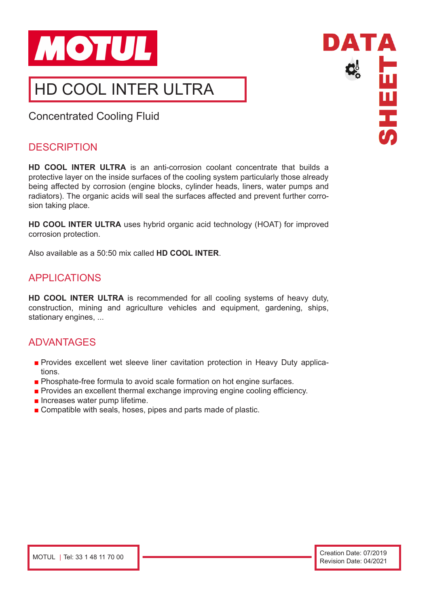

# HD COOL INTER ULTRA

Concentrated Cooling Fluid

# **DESCRIPTION**

**HD COOL INTER ULTRA** is an anti-corrosion coolant concentrate that builds a protective layer on the inside surfaces of the cooling system particularly those already being affected by corrosion (engine blocks, cylinder heads, liners, water pumps and radiators). The organic acids will seal the surfaces affected and prevent further corrosion taking place.

**HD COOL INTER ULTRA** uses hybrid organic acid technology (HOAT) for improved corrosion protection.

Also available as a 50:50 mix called **HD COOL INTER**.

# APPLICATIONS

**HD COOL INTER ULTRA** is recommended for all cooling systems of heavy duty, construction, mining and agriculture vehicles and equipment, gardening, ships, stationary engines, ...

# ADVANTAGES

- Provides excellent wet sleeve liner cavitation protection in Heavy Duty applications.
- Phosphate-free formula to avoid scale formation on hot engine surfaces.
- Provides an excellent thermal exchange improving engine cooling efficiency.
- Increases water pump lifetime.
- Compatible with seals, hoses, pipes and parts made of plastic.

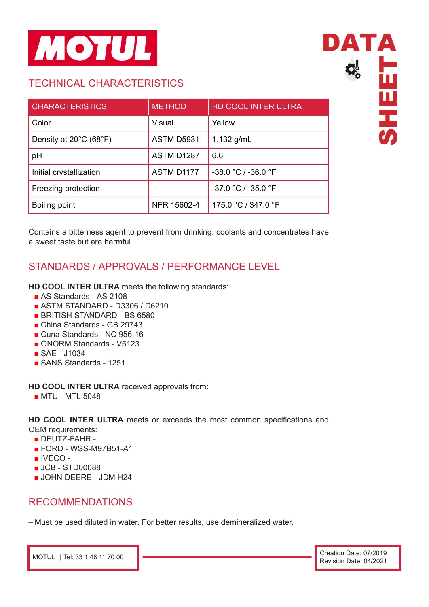

# TECHNICAL CHARACTERISTICS

| <b>CHARACTERISTICS</b>  | <b>METHOD</b>     | HD COOL INTER ULTRA   |
|-------------------------|-------------------|-----------------------|
| Color                   | Visual            | Yellow                |
| Density at 20°C (68°F)  | <b>ASTM D5931</b> | 1.132 $g/mL$          |
| pH                      | ASTM D1287        | 6.6                   |
| Initial crystallization | ASTM D1177        | -38.0 °C / -36.0 °F   |
| Freezing protection     |                   | $-37.0 °C / -35.0 °F$ |
| Boiling point           | NFR 15602-4       | 175.0 °C / 347.0 °F   |

Contains a bitterness agent to prevent from drinking: coolants and concentrates have a sweet taste but are harmful.

# STANDARDS / APPROVALS / PERFORMANCE LEVEL

**HD COOL INTER ULTRA** meets the following standards:

- AS Standards AS 2108
- ASTM STANDARD D3306 / D6210
- BRITISH STANDARD BS 6580
- China Standards GB 29743
- Cuna Standards NC 956-16
- ÖNORM Standards V5123
- SAE J1034
- SANS Standards 1251

**HD COOL INTER ULTRA** received approvals from:

■ MTU - MTL 5048

**HD COOL INTER ULTRA** meets or exceeds the most common specifications and OEM requirements:

- DEUTZ-FAHR -
- FORD WSS-M97B51-A1
- IVECO -
- JCB STD00088
- JOHN DEERE JDM H24

# RECOMMENDATIONS

– Must be used diluted in water. For better results, use demineralized water.